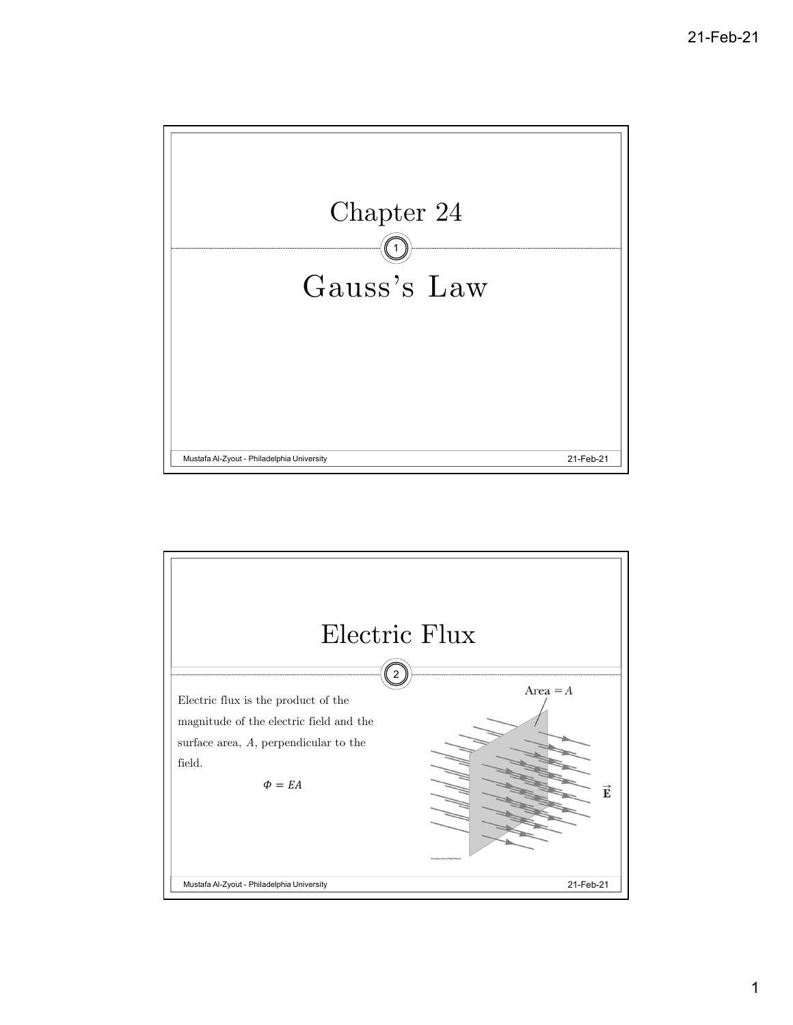

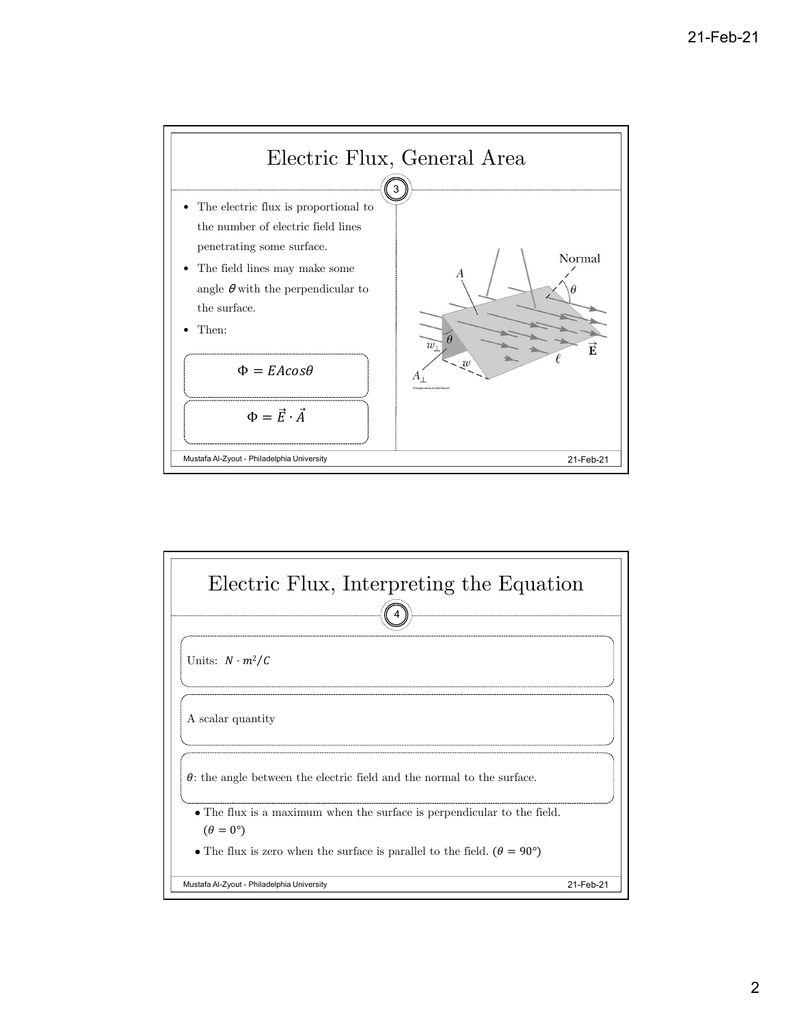

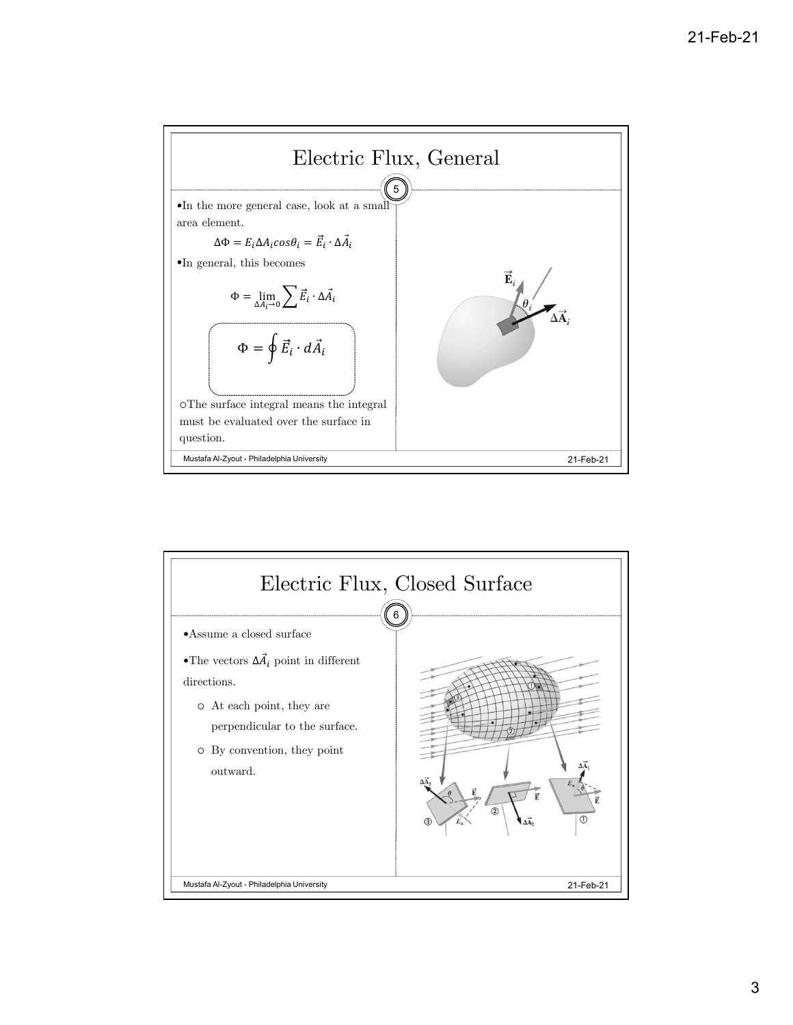

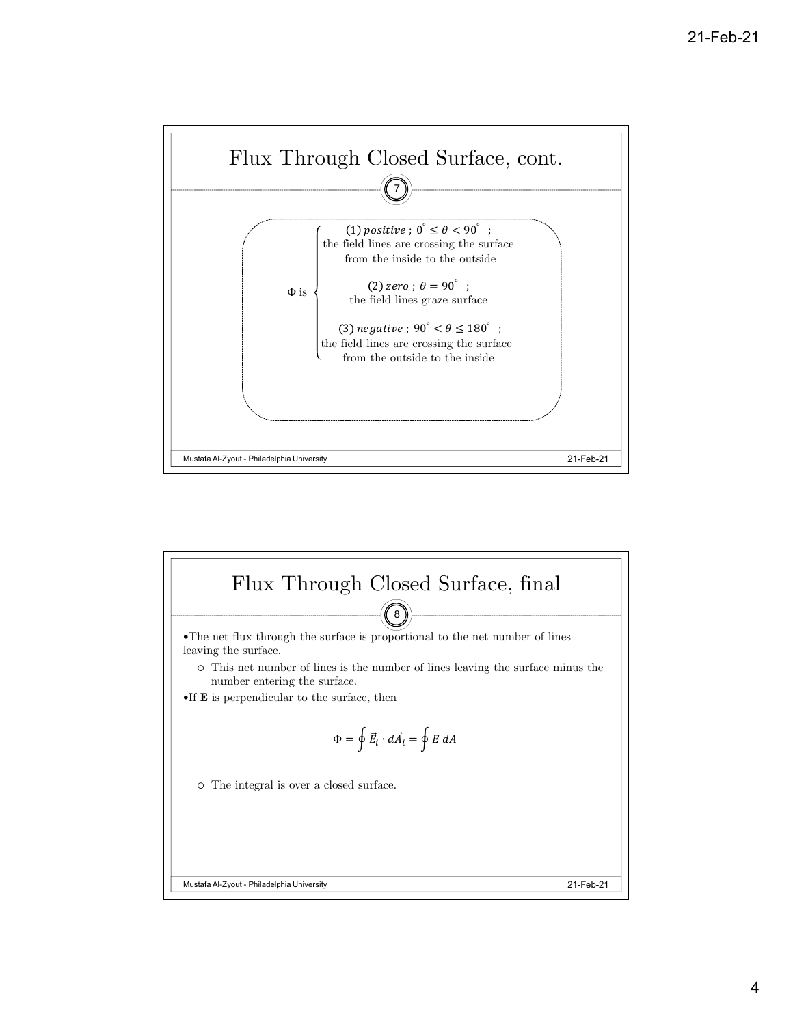

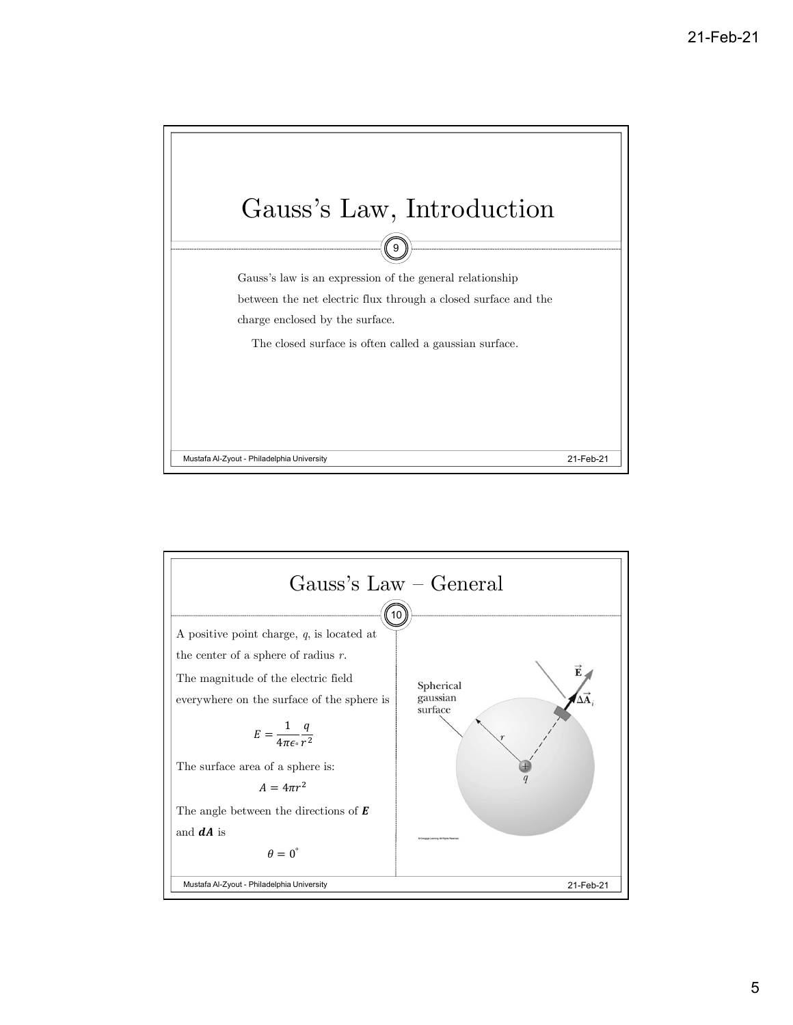

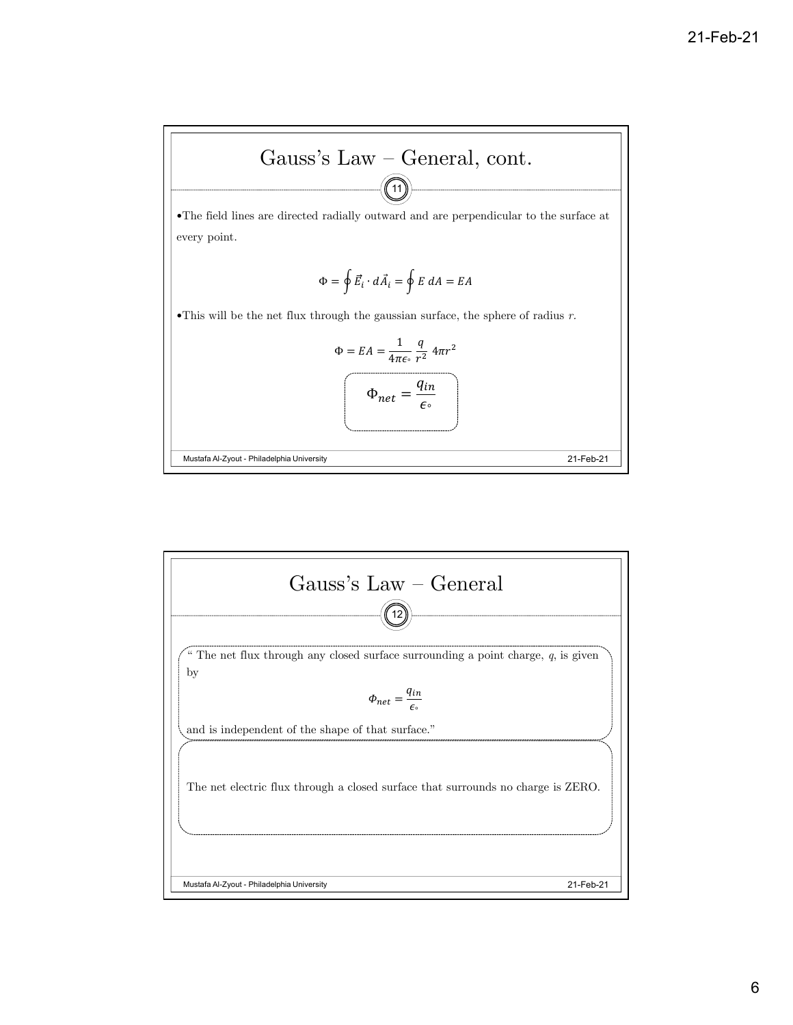

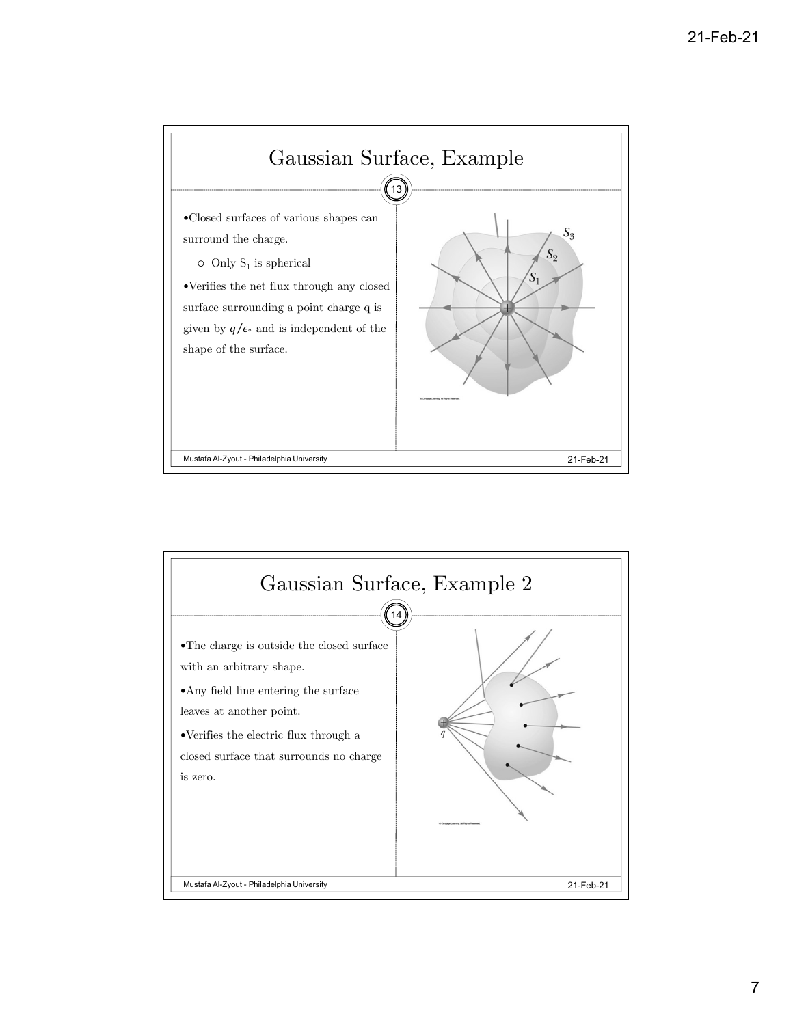

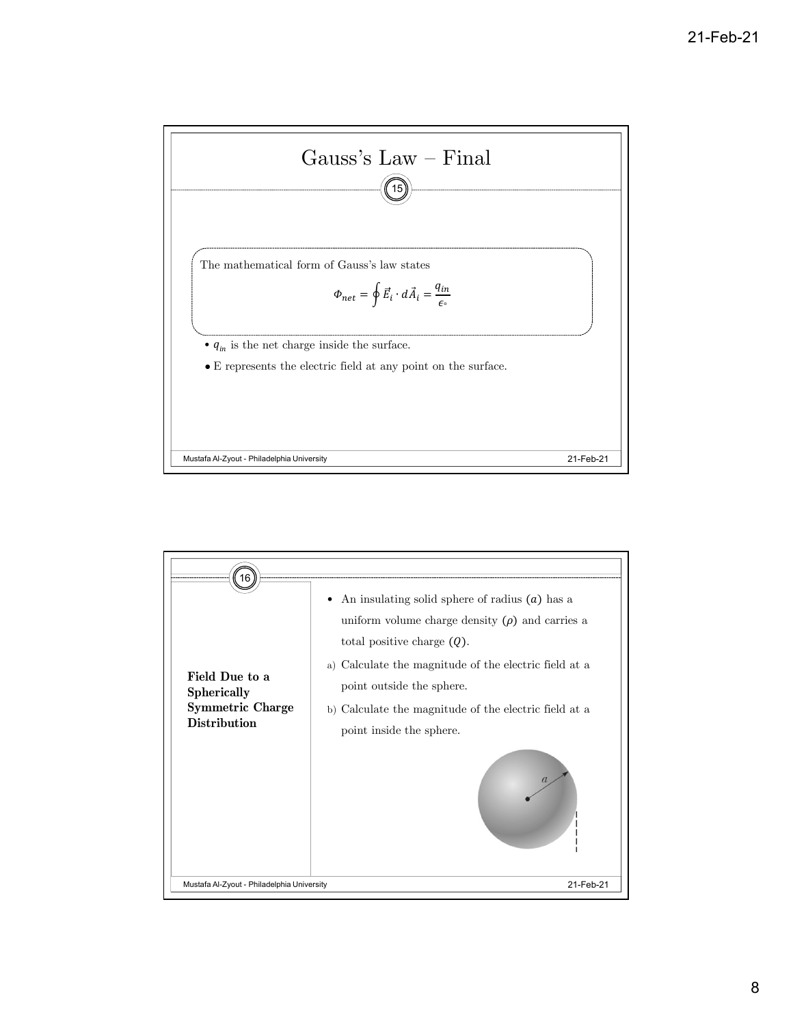

| a) Calculate the magnitude of the electric field at a<br>Field Due to a<br>point outside the sphere.<br><b>Spherically</b><br><b>Symmetric Charge</b><br>b) Calculate the magnitude of the electric field at a<br><b>Distribution</b><br>point inside the sphere. |
|-------------------------------------------------------------------------------------------------------------------------------------------------------------------------------------------------------------------------------------------------------------------|
| Mustafa Al-Zyout - Philadelphia University<br>21-Feb-21                                                                                                                                                                                                           |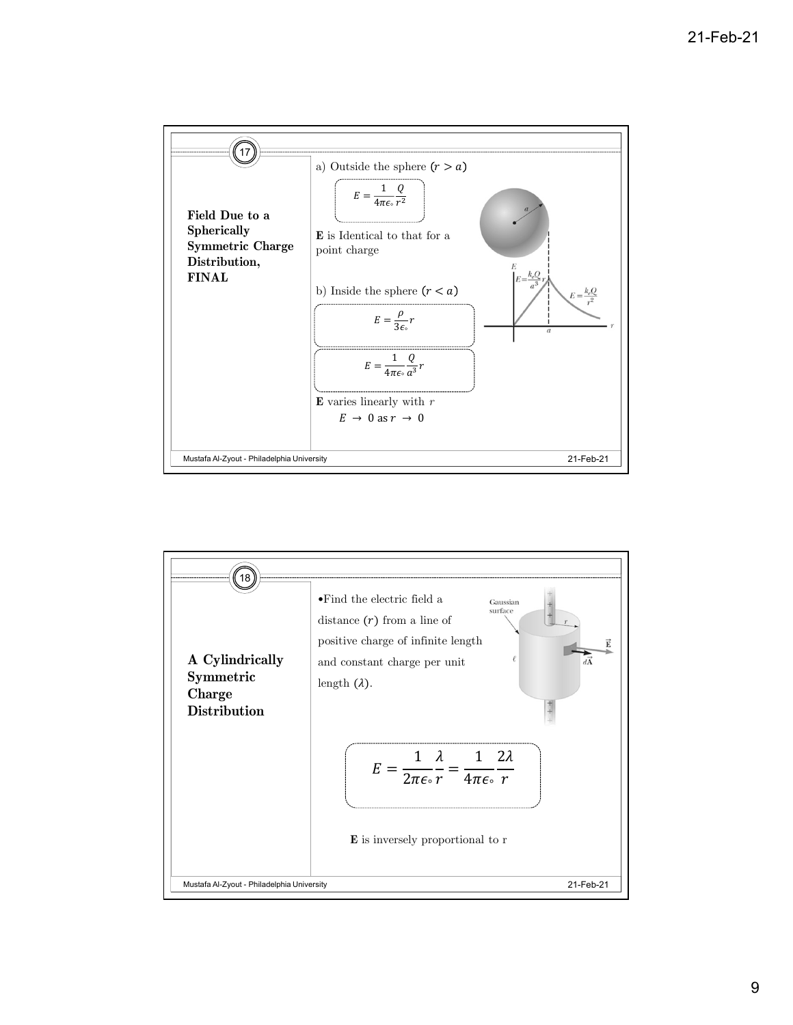

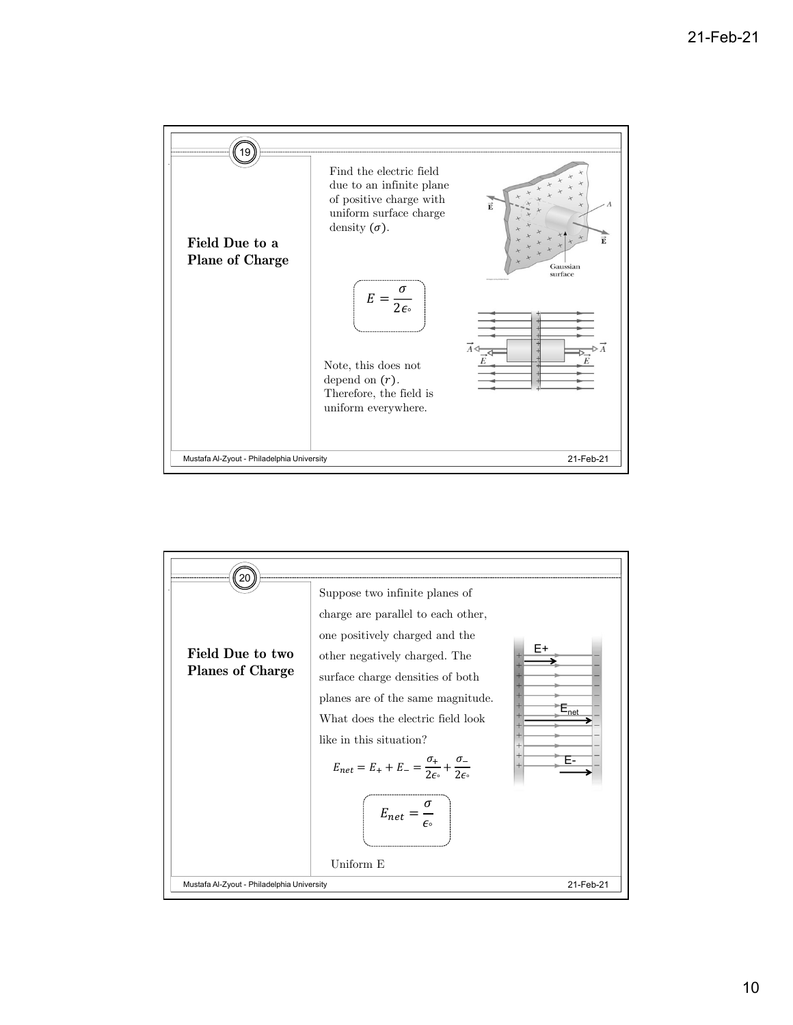

![](_page_9_Figure_2.jpeg)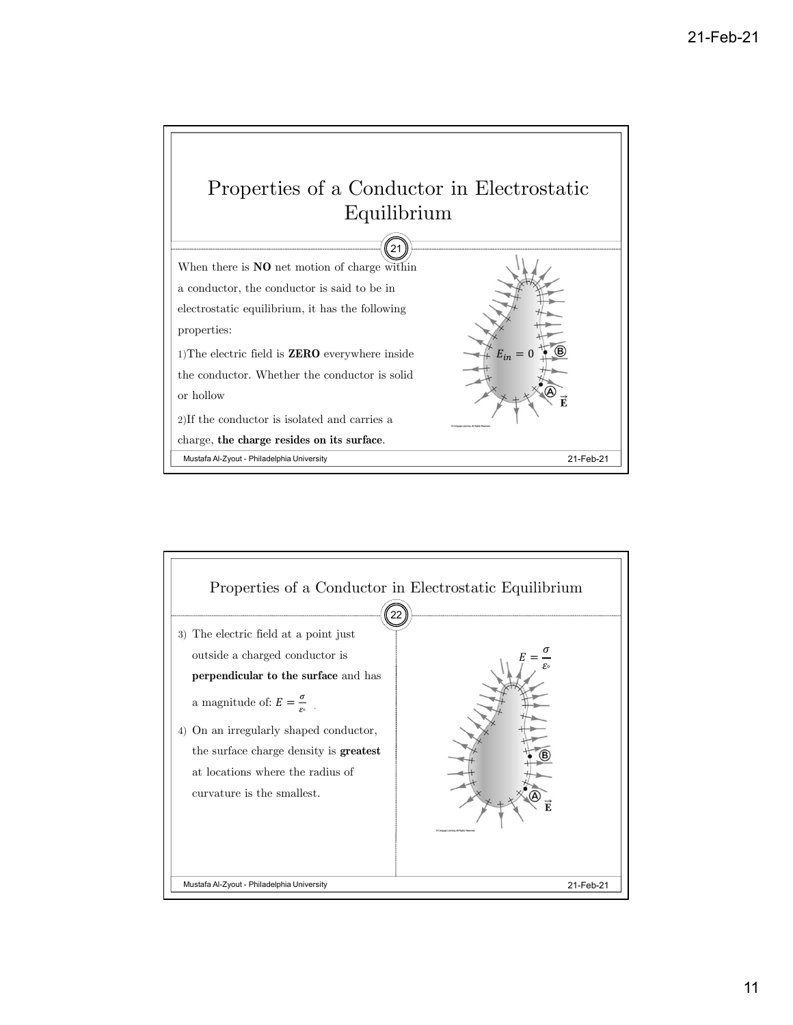![](_page_10_Figure_1.jpeg)

![](_page_10_Figure_2.jpeg)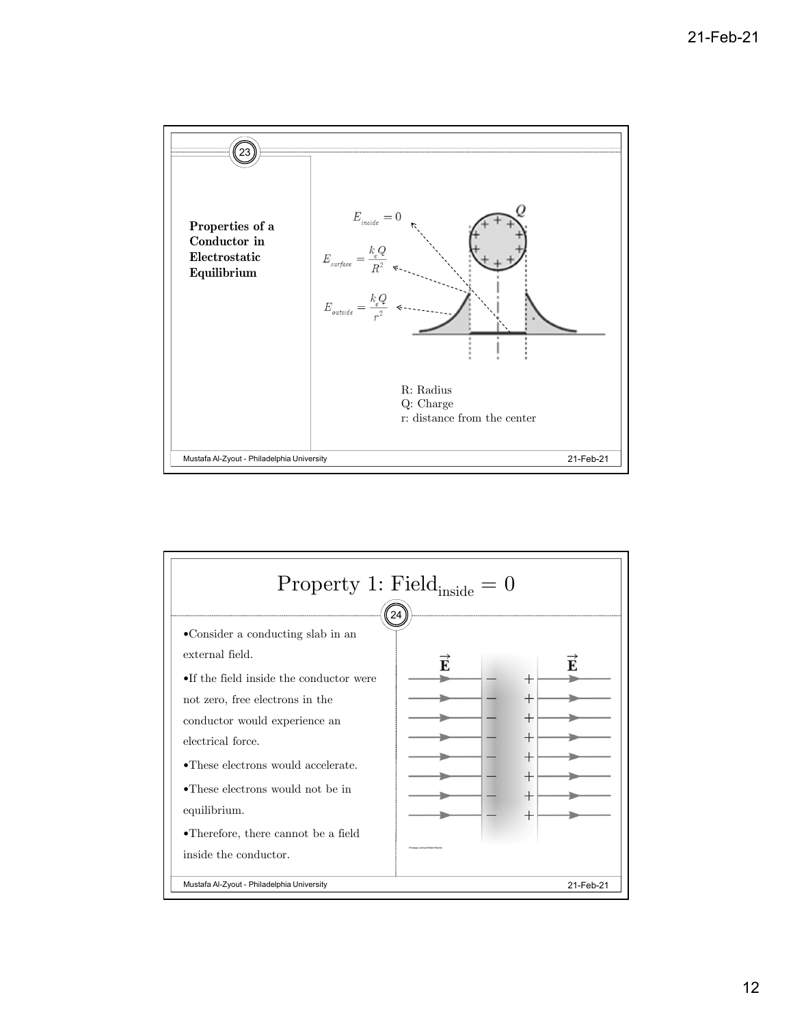![](_page_11_Figure_1.jpeg)

![](_page_11_Figure_2.jpeg)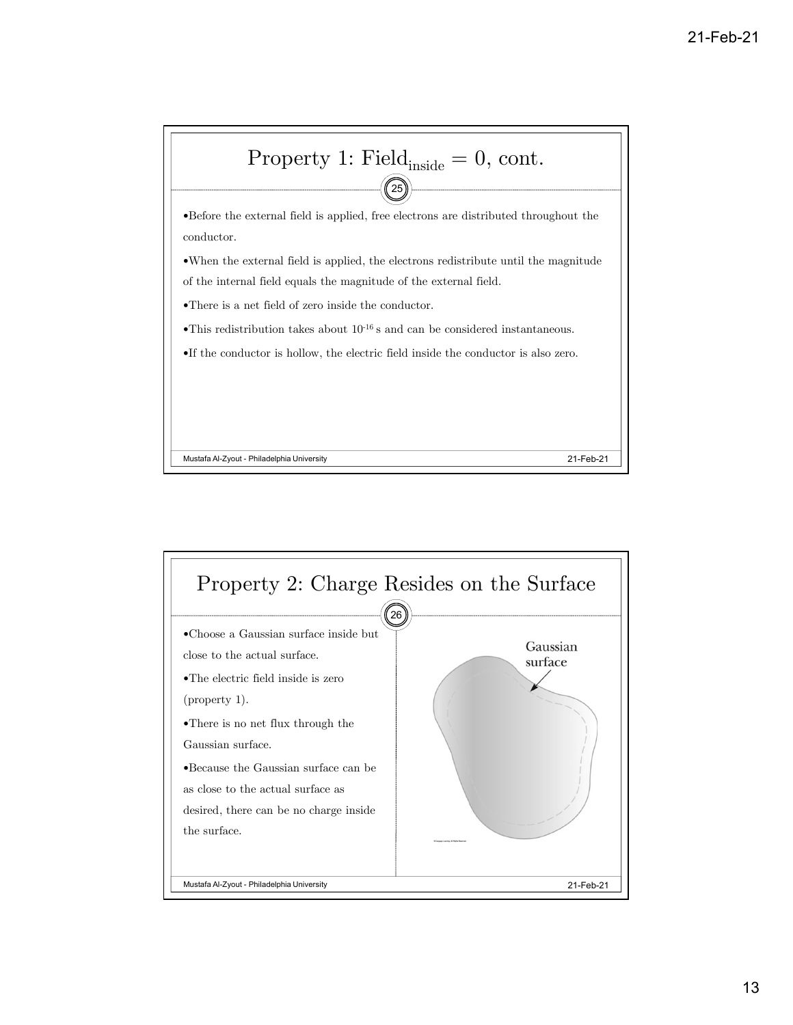![](_page_12_Figure_1.jpeg)

![](_page_12_Figure_2.jpeg)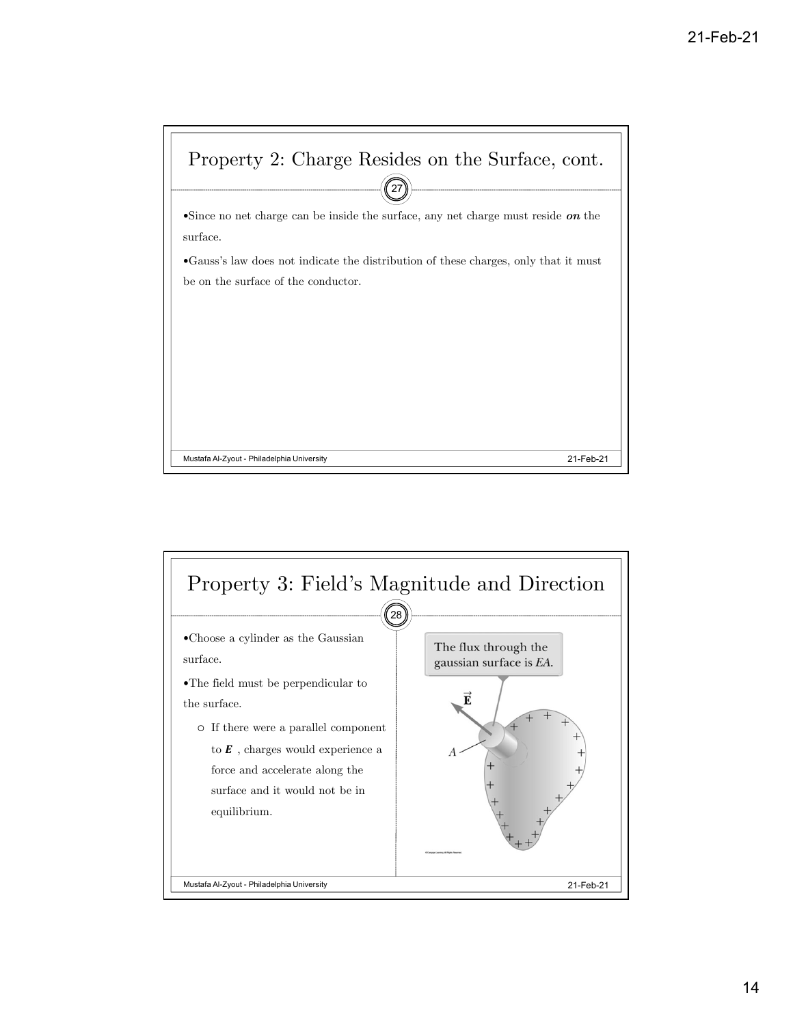![](_page_13_Figure_1.jpeg)

![](_page_13_Figure_2.jpeg)